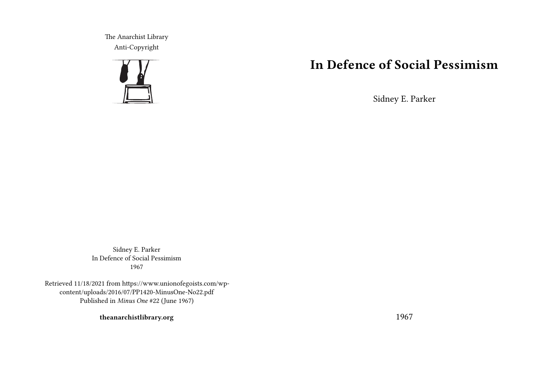The Anarchist Library Anti-Copyright



# **In Defence of Social Pessimism**

Sidney E. Parker

Sidney E. Parker In Defence of Social Pessimism 1967

Retrieved 11/18/2021 from https://www.unionofegoists.com/wpcontent/uploads/2016/07/PP1420-MinusOne-No22.pdf Published in *Minus One* #22 (June 1967)

**theanarchistlibrary.org**

1967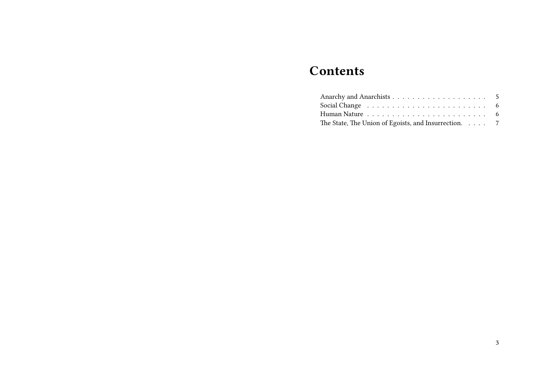# **Contents**

| Social Change $\ldots \ldots \ldots \ldots \ldots \ldots \ldots \ldots$ |  |
|-------------------------------------------------------------------------|--|
|                                                                         |  |
| The State, The Union of Egoists, and Insurrection. $\ldots$ 7           |  |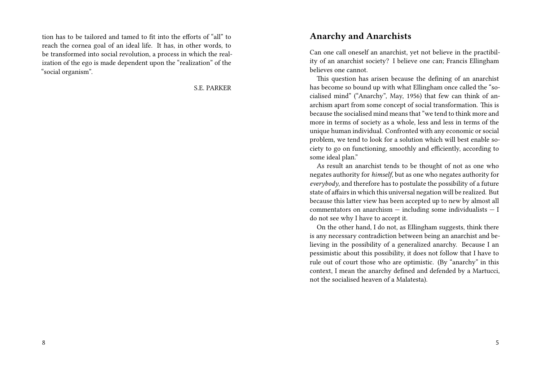tion has to be tailored and tamed to fit into the efforts of "all" to reach the cornea goal of an ideal life. It has, in other words, to be transformed into social revolution, a process in which the realization of the ego is made dependent upon the "realization" of the "social organism".

S.E. PARKER

#### **Anarchy and Anarchists**

Can one call oneself an anarchist, yet not believe in the practibility of an anarchist society? I believe one can; Francis Ellingham believes one cannot.

This question has arisen because the defining of an anarchist has become so bound up with what Ellingham once called the "socialised mind" ("Anarchy", May, 1956) that few can think of anarchism apart from some concept of social transformation. This is because the socialised mind means that "we tend to think more and more in terms of society as a whole, less and less in terms of the unique human individual. Confronted with any economic or social problem, we tend to look for a solution which will best enable society to go on functioning, smoothly and efficiently, according to some ideal plan."

As result an anarchist tends to be thought of not as one who negates authority for *himself*, but as one who negates authority for *everybody*, and therefore has to postulate the possibility of a future state of affairs in which this universal negation will be realized. But because this latter view has been accepted up to new by almost all commentators on anarchism — including some individualists — I do not see why I have to accept it.

On the other hand, I do not, as Ellingham suggests, think there is any necessary contradiction between being an anarchist and believing in the possibility of a generalized anarchy. Because I an pessimistic about this possibility, it does not follow that I have to rule out of court those who are optimistic. (By "anarchy" in this context, I mean the anarchy defined and defended by a Martucci, not the socialised heaven of a Malatesta).